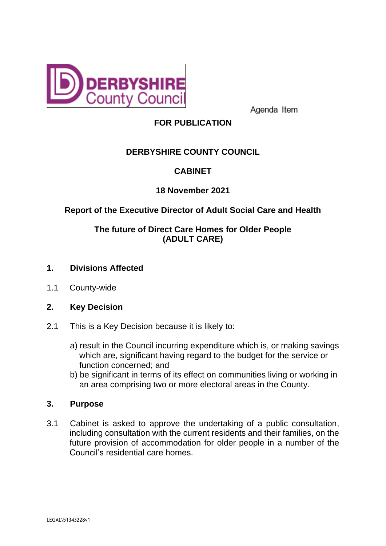

Agenda Item

# **FOR PUBLICATION**

# **DERBYSHIRE COUNTY COUNCIL**

## **CABINET**

### **18 November 2021**

## **Report of the Executive Director of Adult Social Care and Health**

## **The future of Direct Care Homes for Older People (ADULT CARE)**

- **1. Divisions Affected**
- 1.1 County-wide
- **2. Key Decision**
- 2.1 This is a Key Decision because it is likely to:
	- a) result in the Council incurring expenditure which is, or making savings which are, significant having regard to the budget for the service or function concerned; and
	- b) be significant in terms of its effect on communities living or working in an area comprising two or more electoral areas in the County.

### **3. Purpose**

3.1 Cabinet is asked to approve the undertaking of a public consultation, including consultation with the current residents and their families, on the future provision of accommodation for older people in a number of the Council's residential care homes.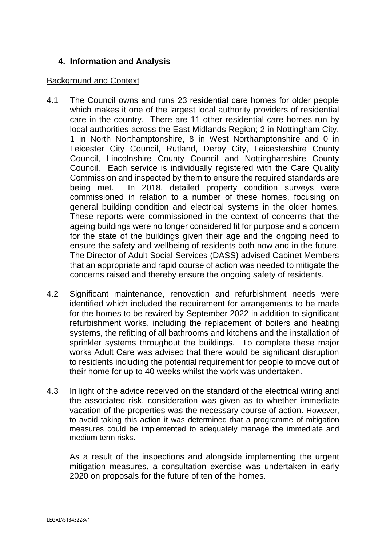### **4. Information and Analysis**

#### Background and Context

- 4.1 The Council owns and runs 23 residential care homes for older people which makes it one of the largest local authority providers of residential care in the country. There are 11 other residential care homes run by local authorities across the East Midlands Region; 2 in Nottingham City, 1 in North Northamptonshire, 8 in West Northamptonshire and 0 in Leicester City Council, Rutland, Derby City, Leicestershire County Council, Lincolnshire County Council and Nottinghamshire County Council. Each service is individually registered with the Care Quality Commission and inspected by them to ensure the required standards are being met. In 2018, detailed property condition surveys were commissioned in relation to a number of these homes, focusing on general building condition and electrical systems in the older homes. These reports were commissioned in the context of concerns that the ageing buildings were no longer considered fit for purpose and a concern for the state of the buildings given their age and the ongoing need to ensure the safety and wellbeing of residents both now and in the future. The Director of Adult Social Services (DASS) advised Cabinet Members that an appropriate and rapid course of action was needed to mitigate the concerns raised and thereby ensure the ongoing safety of residents.
- 4.2 Significant maintenance, renovation and refurbishment needs were identified which included the requirement for arrangements to be made for the homes to be rewired by September 2022 in addition to significant refurbishment works, including the replacement of boilers and heating systems, the refitting of all bathrooms and kitchens and the installation of sprinkler systems throughout the buildings. To complete these major works Adult Care was advised that there would be significant disruption to residents including the potential requirement for people to move out of their home for up to 40 weeks whilst the work was undertaken.
- 4.3 In light of the advice received on the standard of the electrical wiring and the associated risk, consideration was given as to whether immediate vacation of the properties was the necessary course of action. However, to avoid taking this action it was determined that a programme of mitigation measures could be implemented to adequately manage the immediate and medium term risks.

As a result of the inspections and alongside implementing the urgent mitigation measures, a consultation exercise was undertaken in early 2020 on proposals for the future of ten of the homes.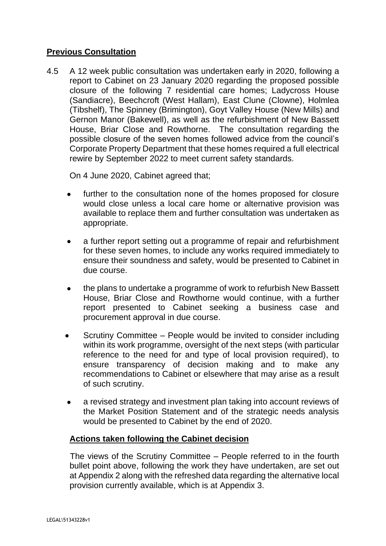### **Previous Consultation**

4.5 A 12 week public consultation was undertaken early in 2020, following a report to Cabinet on 23 January 2020 regarding the proposed possible closure of the following 7 residential care homes; Ladycross House (Sandiacre), Beechcroft (West Hallam), East Clune (Clowne), Holmlea (Tibshelf), The Spinney (Brimington), Goyt Valley House (New Mills) and Gernon Manor (Bakewell), as well as the refurbishment of New Bassett House, Briar Close and Rowthorne. The consultation regarding the possible closure of the seven homes followed advice from the council's Corporate Property Department that these homes required a full electrical rewire by September 2022 to meet current safety standards.

On 4 June 2020, Cabinet agreed that;

- further to the consultation none of the homes proposed for closure would close unless a local care home or alternative provision was available to replace them and further consultation was undertaken as appropriate.
- a further report setting out a programme of repair and refurbishment for these seven homes, to include any works required immediately to ensure their soundness and safety, would be presented to Cabinet in due course.
- the plans to undertake a programme of work to refurbish New Bassett House, Briar Close and Rowthorne would continue, with a further report presented to Cabinet seeking a business case and procurement approval in due course.
- Scrutiny Committee People would be invited to consider including within its work programme, oversight of the next steps (with particular reference to the need for and type of local provision required), to ensure transparency of decision making and to make any recommendations to Cabinet or elsewhere that may arise as a result of such scrutiny.
- a revised strategy and investment plan taking into account reviews of the Market Position Statement and of the strategic needs analysis would be presented to Cabinet by the end of 2020.

### **Actions taken following the Cabinet decision**

The views of the Scrutiny Committee – People referred to in the fourth bullet point above, following the work they have undertaken, are set out at Appendix 2 along with the refreshed data regarding the alternative local provision currently available, which is at Appendix 3.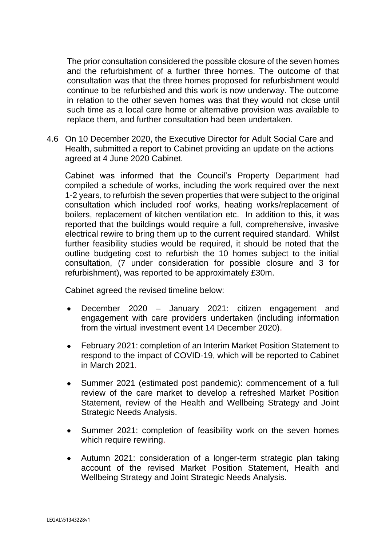The prior consultation considered the possible closure of the seven homes and the refurbishment of a further three homes. The outcome of that consultation was that the three homes proposed for refurbishment would continue to be refurbished and this work is now underway. The outcome in relation to the other seven homes was that they would not close until such time as a local care home or alternative provision was available to replace them, and further consultation had been undertaken.

4.6 On 10 December 2020, the Executive Director for Adult Social Care and Health, submitted a report to Cabinet providing an update on the actions agreed at 4 June 2020 Cabinet.

Cabinet was informed that the Council's Property Department had compiled a schedule of works, including the work required over the next 1-2 years, to refurbish the seven properties that were subject to the original consultation which included roof works, heating works/replacement of boilers, replacement of kitchen ventilation etc. In addition to this, it was reported that the buildings would require a full, comprehensive, invasive electrical rewire to bring them up to the current required standard. Whilst further feasibility studies would be required, it should be noted that the outline budgeting cost to refurbish the 10 homes subject to the initial consultation, (7 under consideration for possible closure and 3 for refurbishment), was reported to be approximately £30m.

Cabinet agreed the revised timeline below:

- December 2020 January 2021: citizen engagement and engagement with care providers undertaken (including information from the virtual investment event 14 December 2020).
- February 2021: completion of an Interim Market Position Statement to respond to the impact of COVID-19, which will be reported to Cabinet in March 2021.
- Summer 2021 (estimated post pandemic): commencement of a full review of the care market to develop a refreshed Market Position Statement, review of the Health and Wellbeing Strategy and Joint Strategic Needs Analysis.
- Summer 2021: completion of feasibility work on the seven homes which require rewiring.
- Autumn 2021: consideration of a longer-term strategic plan taking account of the revised Market Position Statement, Health and Wellbeing Strategy and Joint Strategic Needs Analysis.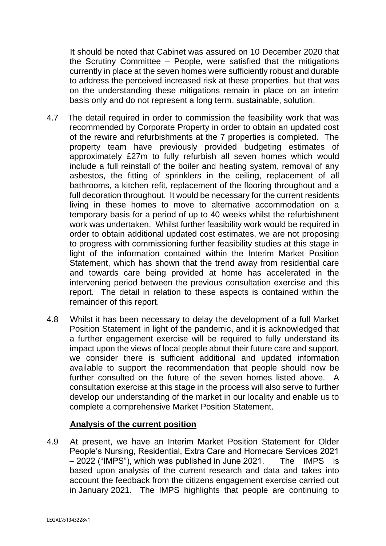It should be noted that Cabinet was assured on 10 December 2020 that the Scrutiny Committee – People, were satisfied that the mitigations currently in place at the seven homes were sufficiently robust and durable to address the perceived increased risk at these properties, but that was on the understanding these mitigations remain in place on an interim basis only and do not represent a long term, sustainable, solution.

- 4.7 The detail required in order to commission the feasibility work that was recommended by Corporate Property in order to obtain an updated cost of the rewire and refurbishments at the 7 properties is completed. The property team have previously provided budgeting estimates of approximately £27m to fully refurbish all seven homes which would include a full reinstall of the boiler and heating system, removal of any asbestos, the fitting of sprinklers in the ceiling, replacement of all bathrooms, a kitchen refit, replacement of the flooring throughout and a full decoration throughout. It would be necessary for the current residents living in these homes to move to alternative accommodation on a temporary basis for a period of up to 40 weeks whilst the refurbishment work was undertaken. Whilst further feasibility work would be required in order to obtain additional updated cost estimates, we are not proposing to progress with commissioning further feasibility studies at this stage in light of the information contained within the Interim Market Position Statement, which has shown that the trend away from residential care and towards care being provided at home has accelerated in the intervening period between the previous consultation exercise and this report. The detail in relation to these aspects is contained within the remainder of this report.
- 4.8 Whilst it has been necessary to delay the development of a full Market Position Statement in light of the pandemic, and it is acknowledged that a further engagement exercise will be required to fully understand its impact upon the views of local people about their future care and support, we consider there is sufficient additional and updated information available to support the recommendation that people should now be further consulted on the future of the seven homes listed above. A consultation exercise at this stage in the process will also serve to further develop our understanding of the market in our locality and enable us to complete a comprehensive Market Position Statement.

### **Analysis of the current position**

4.9 At present, we have an Interim Market Position Statement for Older People's Nursing, Residential, Extra Care and Homecare Services 2021 – 2022 ("IMPS"), which was published in June 2021. The IMPS is based upon analysis of the current research and data and takes into account the feedback from the citizens engagement exercise carried out in January 2021. The IMPS highlights that people are continuing to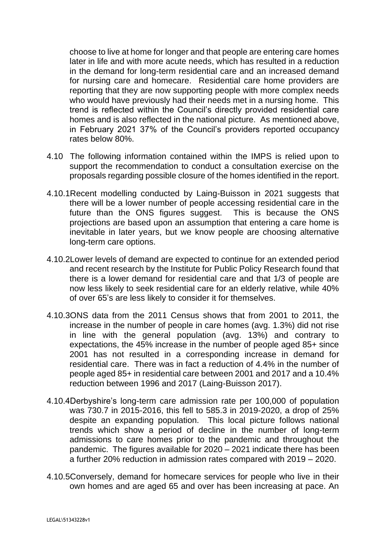choose to live at home for longer and that people are entering care homes later in life and with more acute needs, which has resulted in a reduction in the demand for long-term residential care and an increased demand for nursing care and homecare. Residential care home providers are reporting that they are now supporting people with more complex needs who would have previously had their needs met in a nursing home. This trend is reflected within the Council's directly provided residential care homes and is also reflected in the national picture. As mentioned above, in February 2021 37% of the Council's providers reported occupancy rates below 80%.

- 4.10 The following information contained within the IMPS is relied upon to support the recommendation to conduct a consultation exercise on the proposals regarding possible closure of the homes identified in the report.
- 4.10.1Recent modelling conducted by Laing-Buisson in 2021 suggests that there will be a lower number of people accessing residential care in the future than the ONS figures suggest. This is because the ONS projections are based upon an assumption that entering a care home is inevitable in later years, but we know people are choosing alternative long-term care options.
- 4.10.2Lower levels of demand are expected to continue for an extended period and recent research by the Institute for Public Policy Research found that there is a lower demand for residential care and that 1/3 of people are now less likely to seek residential care for an elderly relative, while 40% of over 65's are less likely to consider it for themselves.
- 4.10.3ONS data from the 2011 Census shows that from 2001 to 2011, the increase in the number of people in care homes (avg. 1.3%) did not rise in line with the general population (avg. 13%) and contrary to expectations, the 45% increase in the number of people aged 85+ since 2001 has not resulted in a corresponding increase in demand for residential care. There was in fact a reduction of 4.4% in the number of people aged 85+ in residential care between 2001 and 2017 and a 10.4% reduction between 1996 and 2017 (Laing-Buisson 2017).
- 4.10.4Derbyshire's long-term care admission rate per 100,000 of population was 730.7 in 2015-2016, this fell to 585.3 in 2019-2020, a drop of 25% despite an expanding population. This local picture follows national trends which show a period of decline in the number of long-term admissions to care homes prior to the pandemic and throughout the pandemic. The figures available for 2020 – 2021 indicate there has been a further 20% reduction in admission rates compared with 2019 – 2020.
- 4.10.5Conversely, demand for homecare services for people who live in their own homes and are aged 65 and over has been increasing at pace. An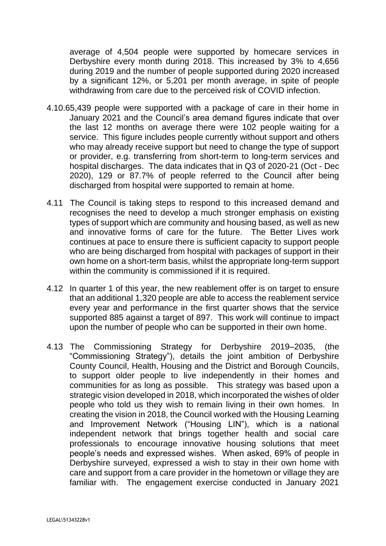average of 4,504 people were supported by homecare services in Derbyshire every month during 2018. This increased by 3% to 4,656 during 2019 and the number of people supported during 2020 increased by a significant 12%, or 5,201 per month average, in spite of people withdrawing from care due to the perceived risk of COVID infection.

- 4.10.65,439 people were supported with a package of care in their home in January 2021 and the Council's area demand figures indicate that over the last 12 months on average there were 102 people waiting for a service. This figure includes people currently without support and others who may already receive support but need to change the type of support or provider, e.g. transferring from short-term to long-term services and hospital discharges. The data indicates that in Q3 of 2020-21 (Oct - Dec 2020), 129 or 87.7% of people referred to the Council after being discharged from hospital were supported to remain at home.
- 4.11 The Council is taking steps to respond to this increased demand and recognises the need to develop a much stronger emphasis on existing types of support which are community and housing based, as well as new and innovative forms of care for the future. The Better Lives work continues at pace to ensure there is sufficient capacity to support people who are being discharged from hospital with packages of support in their own home on a short-term basis, whilst the appropriate long-term support within the community is commissioned if it is required.
- 4.12 In quarter 1 of this year, the new reablement offer is on target to ensure that an additional 1,320 people are able to access the reablement service every year and performance in the first quarter shows that the service supported 885 against a target of 897. This work will continue to impact upon the number of people who can be supported in their own home.
- 4.13 The Commissioning Strategy for Derbyshire 2019–2035, (the "Commissioning Strategy"), details the joint ambition of Derbyshire County Council, Health, Housing and the District and Borough Councils, to support older people to live independently in their homes and communities for as long as possible. This strategy was based upon a strategic vision developed in 2018, which incorporated the wishes of older people who told us they wish to remain living in their own homes. In creating the vision in 2018, the Council worked with the Housing Learning and Improvement Network ("Housing LIN"), which is a national independent network that brings together health and social care professionals to encourage innovative housing solutions that meet people's needs and expressed wishes. When asked, 69% of people in Derbyshire surveyed, expressed a wish to stay in their own home with care and support from a care provider in the hometown or village they are familiar with. The engagement exercise conducted in January 2021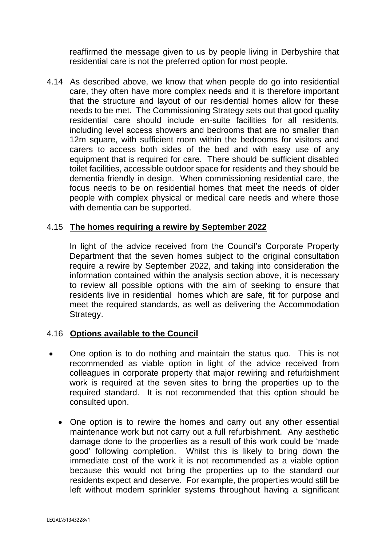reaffirmed the message given to us by people living in Derbyshire that residential care is not the preferred option for most people.

4.14 As described above, we know that when people do go into residential care, they often have more complex needs and it is therefore important that the structure and layout of our residential homes allow for these needs to be met. The Commissioning Strategy sets out that good quality residential care should include en-suite facilities for all residents, including level access showers and bedrooms that are no smaller than 12m square, with sufficient room within the bedrooms for visitors and carers to access both sides of the bed and with easy use of any equipment that is required for care. There should be sufficient disabled toilet facilities, accessible outdoor space for residents and they should be dementia friendly in design. When commissioning residential care, the focus needs to be on residential homes that meet the needs of older people with complex physical or medical care needs and where those with dementia can be supported.

### 4.15 **The homes requiring a rewire by September 2022**

In light of the advice received from the Council's Corporate Property Department that the seven homes subject to the original consultation require a rewire by September 2022, and taking into consideration the information contained within the analysis section above, it is necessary to review all possible options with the aim of seeking to ensure that residents live in residential homes which are safe, fit for purpose and meet the required standards, as well as delivering the Accommodation Strategy.

### 4.16 **Options available to the Council**

- One option is to do nothing and maintain the status quo. This is not recommended as viable option in light of the advice received from colleagues in corporate property that major rewiring and refurbishment work is required at the seven sites to bring the properties up to the required standard. It is not recommended that this option should be consulted upon.
	- One option is to rewire the homes and carry out any other essential maintenance work but not carry out a full refurbishment. Any aesthetic damage done to the properties as a result of this work could be 'made good' following completion. Whilst this is likely to bring down the immediate cost of the work it is not recommended as a viable option because this would not bring the properties up to the standard our residents expect and deserve. For example, the properties would still be left without modern sprinkler systems throughout having a significant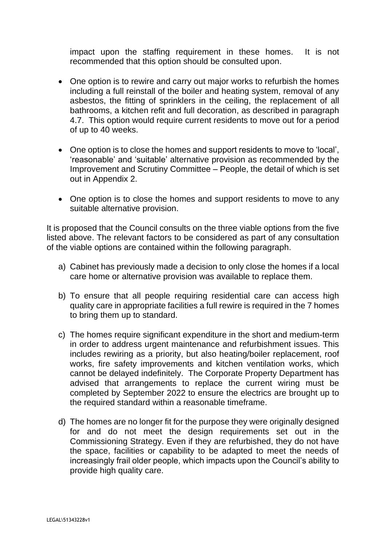impact upon the staffing requirement in these homes. It is not recommended that this option should be consulted upon.

- One option is to rewire and carry out major works to refurbish the homes including a full reinstall of the boiler and heating system, removal of any asbestos, the fitting of sprinklers in the ceiling, the replacement of all bathrooms, a kitchen refit and full decoration, as described in paragraph 4.7. This option would require current residents to move out for a period of up to 40 weeks.
- One option is to close the homes and support residents to move to 'local', 'reasonable' and 'suitable' alternative provision as recommended by the Improvement and Scrutiny Committee – People, the detail of which is set out in Appendix 2.
- One option is to close the homes and support residents to move to any suitable alternative provision.

It is proposed that the Council consults on the three viable options from the five listed above. The relevant factors to be considered as part of any consultation of the viable options are contained within the following paragraph.

- a) Cabinet has previously made a decision to only close the homes if a local care home or alternative provision was available to replace them.
- b) To ensure that all people requiring residential care can access high quality care in appropriate facilities a full rewire is required in the 7 homes to bring them up to standard.
- c) The homes require significant expenditure in the short and medium-term in order to address urgent maintenance and refurbishment issues. This includes rewiring as a priority, but also heating/boiler replacement, roof works, fire safety improvements and kitchen ventilation works, which cannot be delayed indefinitely. The Corporate Property Department has advised that arrangements to replace the current wiring must be completed by September 2022 to ensure the electrics are brought up to the required standard within a reasonable timeframe.
- d) The homes are no longer fit for the purpose they were originally designed for and do not meet the design requirements set out in the Commissioning Strategy. Even if they are refurbished, they do not have the space, facilities or capability to be adapted to meet the needs of increasingly frail older people, which impacts upon the Council's ability to provide high quality care.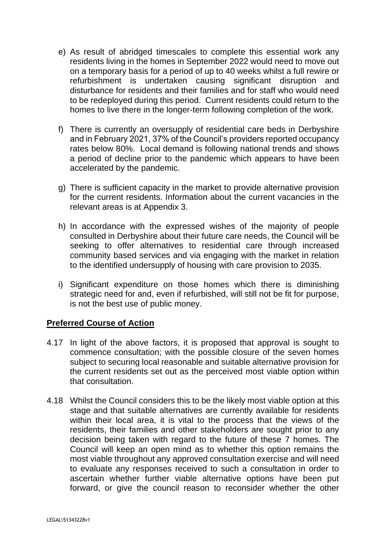- e) As result of abridged timescales to complete this essential work any residents living in the homes in September 2022 would need to move out on a temporary basis for a period of up to 40 weeks whilst a full rewire or refurbishment is undertaken causing significant disruption and disturbance for residents and their families and for staff who would need to be redeployed during this period. Current residents could return to the homes to live there in the longer-term following completion of the work.
- f) There is currently an oversupply of residential care beds in Derbyshire and in February 2021, 37% of the Council's providers reported occupancy rates below 80%. Local demand is following national trends and shows a period of decline prior to the pandemic which appears to have been accelerated by the pandemic.
- g) There is sufficient capacity in the market to provide alternative provision for the current residents. Information about the current vacancies in the relevant areas is at Appendix 3.
- h) In accordance with the expressed wishes of the majority of people consulted in Derbyshire about their future care needs, the Council will be seeking to offer alternatives to residential care through increased community based services and via engaging with the market in relation to the identified undersupply of housing with care provision to 2035.
- i) Significant expenditure on those homes which there is diminishing strategic need for and, even if refurbished, will still not be fit for purpose, is not the best use of public money.

## **Preferred Course of Action**

- 4.17 In light of the above factors, it is proposed that approval is sought to commence consultation; with the possible closure of the seven homes subject to securing local reasonable and suitable alternative provision for the current residents set out as the perceived most viable option within that consultation.
- 4.18 Whilst the Council considers this to be the likely most viable option at this stage and that suitable alternatives are currently available for residents within their local area, it is vital to the process that the views of the residents, their families and other stakeholders are sought prior to any decision being taken with regard to the future of these 7 homes. The Council will keep an open mind as to whether this option remains the most viable throughout any approved consultation exercise and will need to evaluate any responses received to such a consultation in order to ascertain whether further viable alternative options have been put forward, or give the council reason to reconsider whether the other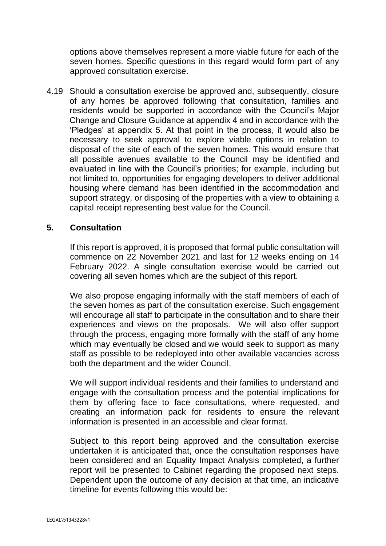options above themselves represent a more viable future for each of the seven homes. Specific questions in this regard would form part of any approved consultation exercise.

4.19 Should a consultation exercise be approved and, subsequently, closure of any homes be approved following that consultation, families and residents would be supported in accordance with the Council's Major Change and Closure Guidance at appendix 4 and in accordance with the 'Pledges' at appendix 5. At that point in the process, it would also be necessary to seek approval to explore viable options in relation to disposal of the site of each of the seven homes. This would ensure that all possible avenues available to the Council may be identified and evaluated in line with the Council's priorities; for example, including but not limited to, opportunities for engaging developers to deliver additional housing where demand has been identified in the accommodation and support strategy, or disposing of the properties with a view to obtaining a capital receipt representing best value for the Council.

### **5. Consultation**

If this report is approved, it is proposed that formal public consultation will commence on 22 November 2021 and last for 12 weeks ending on 14 February 2022. A single consultation exercise would be carried out covering all seven homes which are the subject of this report.

We also propose engaging informally with the staff members of each of the seven homes as part of the consultation exercise. Such engagement will encourage all staff to participate in the consultation and to share their experiences and views on the proposals. We will also offer support through the process, engaging more formally with the staff of any home which may eventually be closed and we would seek to support as many staff as possible to be redeployed into other available vacancies across both the department and the wider Council.

We will support individual residents and their families to understand and engage with the consultation process and the potential implications for them by offering face to face consultations, where requested, and creating an information pack for residents to ensure the relevant information is presented in an accessible and clear format.

Subject to this report being approved and the consultation exercise undertaken it is anticipated that, once the consultation responses have been considered and an Equality Impact Analysis completed, a further report will be presented to Cabinet regarding the proposed next steps. Dependent upon the outcome of any decision at that time, an indicative timeline for events following this would be: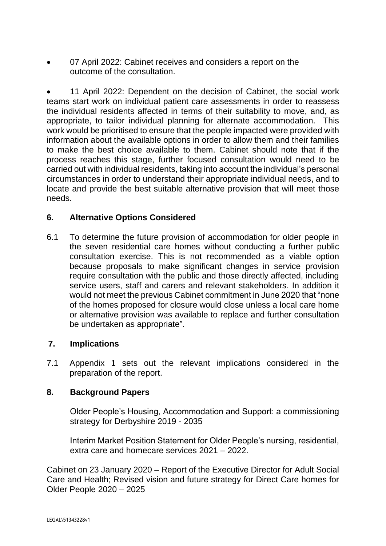• 07 April 2022: Cabinet receives and considers a report on the outcome of the consultation.

• 11 April 2022: Dependent on the decision of Cabinet, the social work teams start work on individual patient care assessments in order to reassess the individual residents affected in terms of their suitability to move, and, as appropriate, to tailor individual planning for alternate accommodation. This work would be prioritised to ensure that the people impacted were provided with information about the available options in order to allow them and their families to make the best choice available to them. Cabinet should note that if the process reaches this stage, further focused consultation would need to be carried out with individual residents, taking into account the individual's personal circumstances in order to understand their appropriate individual needs, and to locate and provide the best suitable alternative provision that will meet those needs.

### **6. Alternative Options Considered**

6.1 To determine the future provision of accommodation for older people in the seven residential care homes without conducting a further public consultation exercise. This is not recommended as a viable option because proposals to make significant changes in service provision require consultation with the public and those directly affected, including service users, staff and carers and relevant stakeholders. In addition it would not meet the previous Cabinet commitment in June 2020 that "none of the homes proposed for closure would close unless a local care home or alternative provision was available to replace and further consultation be undertaken as appropriate".

### **7. Implications**

7.1 Appendix 1 sets out the relevant implications considered in the preparation of the report.

### **8. Background Papers**

Older People's Housing, Accommodation and Support: a commissioning strategy for Derbyshire 2019 - 2035

Interim Market Position Statement for Older People's nursing, residential, extra care and homecare services 2021 – 2022.

Cabinet on 23 January 2020 – Report of the Executive Director for Adult Social Care and Health; Revised vision and future strategy for Direct Care homes for Older People 2020 – 2025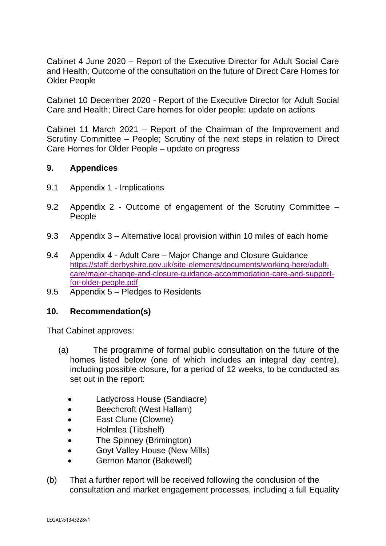Cabinet 4 June 2020 – Report of the Executive Director for Adult Social Care and Health; Outcome of the consultation on the future of Direct Care Homes for Older People

Cabinet 10 December 2020 - Report of the Executive Director for Adult Social Care and Health; Direct Care homes for older people: update on actions

Cabinet 11 March 2021 – Report of the Chairman of the Improvement and Scrutiny Committee – People; Scrutiny of the next steps in relation to Direct Care Homes for Older People – update on progress

### **9. Appendices**

- 9.1 Appendix 1 Implications
- 9.2 Appendix 2 Outcome of engagement of the Scrutiny Committee People
- 9.3 Appendix 3 Alternative local provision within 10 miles of each home
- 9.4 Appendix 4 Adult Care Major Change and Closure Guidance [https://staff.derbyshire.gov.uk/site-elements/documents/working-here/adult](https://staff.derbyshire.gov.uk/site-elements/documents/working-here/adult-care/major-change-and-closure-guidance-accommodation-care-and-support-for-older-people.pdf)[care/major-change-and-closure-guidance-accommodation-care-and-support](https://staff.derbyshire.gov.uk/site-elements/documents/working-here/adult-care/major-change-and-closure-guidance-accommodation-care-and-support-for-older-people.pdf)[for-older-people.pdf](https://staff.derbyshire.gov.uk/site-elements/documents/working-here/adult-care/major-change-and-closure-guidance-accommodation-care-and-support-for-older-people.pdf)
- 9.5 Appendix 5 Pledges to Residents

### **10. Recommendation(s)**

That Cabinet approves:

- (a) The programme of formal public consultation on the future of the homes listed below (one of which includes an integral day centre), including possible closure, for a period of 12 weeks, to be conducted as set out in the report:
	- Ladycross House (Sandiacre)
	- Beechcroft (West Hallam)
	- **East Clune (Clowne)**
	- Holmlea (Tibshelf)
	- The Spinney (Brimington)
	- Goyt Valley House (New Mills)
	- Gernon Manor (Bakewell)
- (b) That a further report will be received following the conclusion of the consultation and market engagement processes, including a full Equality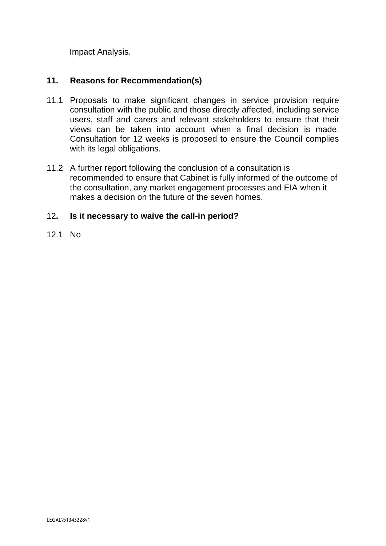Impact Analysis.

## **11. Reasons for Recommendation(s)**

- 11.1 Proposals to make significant changes in service provision require consultation with the public and those directly affected, including service users, staff and carers and relevant stakeholders to ensure that their views can be taken into account when a final decision is made. Consultation for 12 weeks is proposed to ensure the Council complies with its legal obligations.
- 11.2 A further report following the conclusion of a consultation is recommended to ensure that Cabinet is fully informed of the outcome of the consultation, any market engagement processes and EIA when it makes a decision on the future of the seven homes.

### 12**. Is it necessary to waive the call-in period?**

12.1 No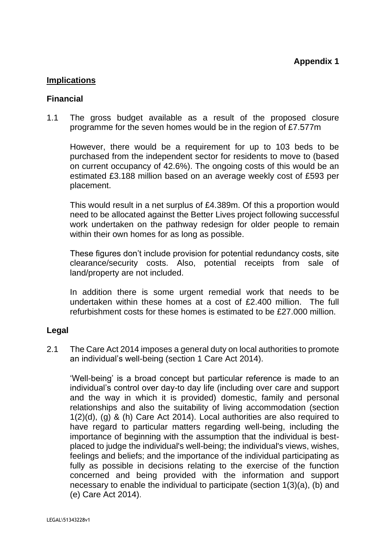### **Implications**

#### **Financial**

1.1 The gross budget available as a result of the proposed closure programme for the seven homes would be in the region of £7.577m

However, there would be a requirement for up to 103 beds to be purchased from the independent sector for residents to move to (based on current occupancy of 42.6%). The ongoing costs of this would be an estimated £3.188 million based on an average weekly cost of £593 per placement.

This would result in a net surplus of £4.389m. Of this a proportion would need to be allocated against the Better Lives project following successful work undertaken on the pathway redesign for older people to remain within their own homes for as long as possible.

These figures don't include provision for potential redundancy costs, site clearance/security costs. Also, potential receipts from sale of land/property are not included.

In addition there is some urgent remedial work that needs to be undertaken within these homes at a cost of £2.400 million. The full refurbishment costs for these homes is estimated to be £27.000 million.

### **Legal**

2.1 The Care Act 2014 imposes a general duty on local authorities to promote an individual's well-being (section 1 Care Act 2014).

'Well-being' is a broad concept but particular reference is made to an individual's control over day-to day life (including over care and support and the way in which it is provided) domestic, family and personal relationships and also the suitability of living accommodation (section 1(2)(d), (g) & (h) Care Act 2014). Local authorities are also required to have regard to particular matters regarding well-being, including the importance of beginning with the assumption that the individual is bestplaced to judge the individual's well-being; the individual's views, wishes, feelings and beliefs; and the importance of the individual participating as fully as possible in decisions relating to the exercise of the function concerned and being provided with the information and support necessary to enable the individual to participate (section 1(3)(a), (b) and (e) Care Act 2014).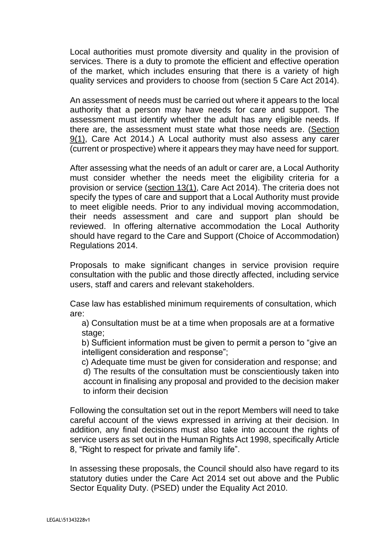Local authorities must promote diversity and quality in the provision of services. There is a duty to promote the efficient and effective operation of the market, which includes ensuring that there is a variety of high quality services and providers to choose from (section 5 Care Act 2014).

An assessment of needs must be carried out where it appears to the local authority that a person may have needs for care and support. The assessment must identify whether the adult has any eligible needs. If there are, the assessment must state what those needs are. [\(Section](https://uk.practicallaw.thomsonreuters.com/6-606-4525?originationContext=document&transitionType=PLDocumentLink&contextData=(sc.Default))  [9\(1\),](https://uk.practicallaw.thomsonreuters.com/6-606-4525?originationContext=document&transitionType=PLDocumentLink&contextData=(sc.Default)) Care Act 2014.) A Local authority must also assess any carer (current or prospective) where it appears they may have need for support.

After assessing what the needs of an adult or carer are, a Local Authority must consider whether the needs meet the eligibility criteria for a provision or service [\(section 13\(1\),](https://uk.practicallaw.thomsonreuters.com/2-607-1207?originationContext=document&transitionType=PLDocumentLink&contextData=(sc.Default)) Care Act 2014). The criteria does not specify the types of care and support that a Local Authority must provide to meet eligible needs. Prior to any individual moving accommodation, their needs assessment and care and support plan should be reviewed. In offering alternative accommodation the Local Authority should have regard to the Care and Support (Choice of Accommodation) Regulations 2014.

Proposals to make significant changes in service provision require consultation with the public and those directly affected, including service users, staff and carers and relevant stakeholders.

Case law has established minimum requirements of consultation, which are:

a) Consultation must be at a time when proposals are at a formative stage;

b) Sufficient information must be given to permit a person to "give an intelligent consideration and response";

c) Adequate time must be given for consideration and response; and d) The results of the consultation must be conscientiously taken into account in finalising any proposal and provided to the decision maker to inform their decision

Following the consultation set out in the report Members will need to take careful account of the views expressed in arriving at their decision. In addition, any final decisions must also take into account the rights of service users as set out in the Human Rights Act 1998, specifically Article 8, "Right to respect for private and family life".

In assessing these proposals, the Council should also have regard to its statutory duties under the Care Act 2014 set out above and the Public Sector Equality Duty. (PSED) under the Equality Act 2010.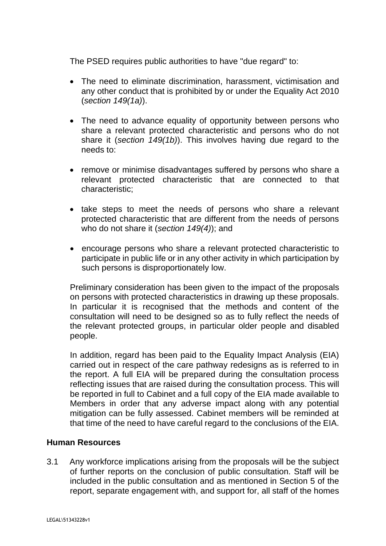The PSED requires public authorities to have "due regard" to:

- The need to eliminate discrimination, harassment, victimisation and any other conduct that is prohibited by or under the Equality Act 2010 (*section 149(1a)*).
- The need to advance equality of opportunity between persons who share a relevant protected characteristic and persons who do not share it (*section 149(1b)*). This involves having due regard to the needs to:
- remove or minimise disadvantages suffered by persons who share a relevant protected characteristic that are connected to that characteristic;
- take steps to meet the needs of persons who share a relevant protected characteristic that are different from the needs of persons who do not share it (*section 149(4)*); and
- encourage persons who share a relevant protected characteristic to participate in public life or in any other activity in which participation by such persons is disproportionately low.

Preliminary consideration has been given to the impact of the proposals on persons with protected characteristics in drawing up these proposals. In particular it is recognised that the methods and content of the consultation will need to be designed so as to fully reflect the needs of the relevant protected groups, in particular older people and disabled people.

In addition, regard has been paid to the Equality Impact Analysis (EIA) carried out in respect of the care pathway redesigns as is referred to in the report. A full EIA will be prepared during the consultation process reflecting issues that are raised during the consultation process. This will be reported in full to Cabinet and a full copy of the EIA made available to Members in order that any adverse impact along with any potential mitigation can be fully assessed. Cabinet members will be reminded at that time of the need to have careful regard to the conclusions of the EIA.

### **Human Resources**

3.1 Any workforce implications arising from the proposals will be the subject of further reports on the conclusion of public consultation. Staff will be included in the public consultation and as mentioned in Section 5 of the report, separate engagement with, and support for, all staff of the homes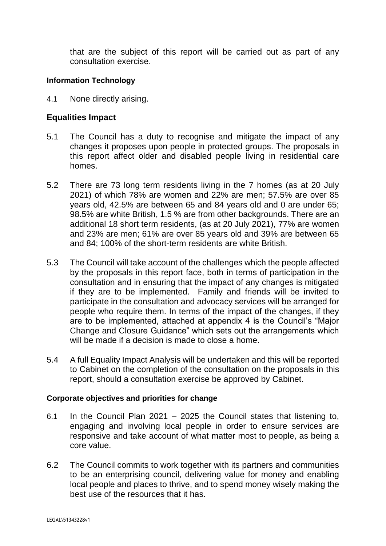that are the subject of this report will be carried out as part of any consultation exercise.

#### **Information Technology**

4.1 None directly arising.

### **Equalities Impact**

- 5.1 The Council has a duty to recognise and mitigate the impact of any changes it proposes upon people in protected groups. The proposals in this report affect older and disabled people living in residential care homes.
- 5.2 There are 73 long term residents living in the 7 homes (as at 20 July 2021) of which 78% are women and 22% are men; 57.5% are over 85 years old, 42.5% are between 65 and 84 years old and 0 are under 65; 98.5% are white British, 1.5 % are from other backgrounds. There are an additional 18 short term residents, (as at 20 July 2021), 77% are women and 23% are men; 61% are over 85 years old and 39% are between 65 and 84; 100% of the short-term residents are white British.
- 5.3 The Council will take account of the challenges which the people affected by the proposals in this report face, both in terms of participation in the consultation and in ensuring that the impact of any changes is mitigated if they are to be implemented. Family and friends will be invited to participate in the consultation and advocacy services will be arranged for people who require them. In terms of the impact of the changes, if they are to be implemented, attached at appendix 4 is the Council's "Major Change and Closure Guidance" which sets out the arrangements which will be made if a decision is made to close a home.
- 5.4 A full Equality Impact Analysis will be undertaken and this will be reported to Cabinet on the completion of the consultation on the proposals in this report, should a consultation exercise be approved by Cabinet.

#### **Corporate objectives and priorities for change**

- 6.1 In the Council Plan 2021 2025 the Council states that listening to, engaging and involving local people in order to ensure services are responsive and take account of what matter most to people, as being a core value.
- 6.2 The Council commits to work together with its partners and communities to be an enterprising council, delivering value for money and enabling local people and places to thrive, and to spend money wisely making the best use of the resources that it has.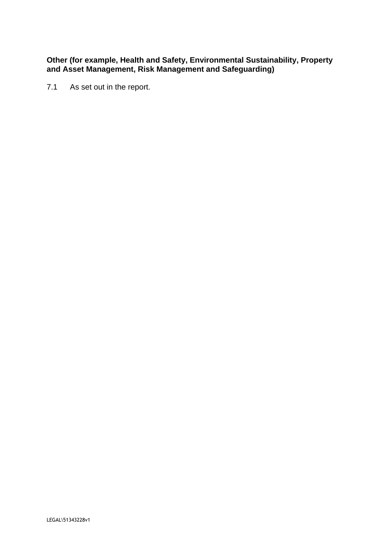#### **Other (for example, Health and Safety, Environmental Sustainability, Property and Asset Management, Risk Management and Safeguarding)**

7.1 As set out in the report.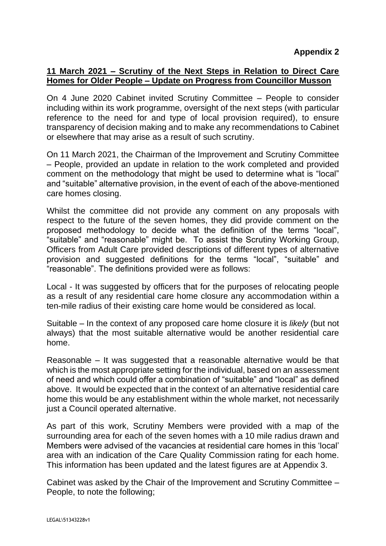### **11 March 2021 – Scrutiny of the Next Steps in Relation to Direct Care Homes for Older People – Update on Progress from Councillor Musson**

On 4 June 2020 Cabinet invited Scrutiny Committee – People to consider including within its work programme, oversight of the next steps (with particular reference to the need for and type of local provision required), to ensure transparency of decision making and to make any recommendations to Cabinet or elsewhere that may arise as a result of such scrutiny.

On 11 March 2021, the Chairman of the Improvement and Scrutiny Committee – People, provided an update in relation to the work completed and provided comment on the methodology that might be used to determine what is "local" and "suitable" alternative provision, in the event of each of the above-mentioned care homes closing.

Whilst the committee did not provide any comment on any proposals with respect to the future of the seven homes, they did provide comment on the proposed methodology to decide what the definition of the terms "local", "suitable" and "reasonable" might be. To assist the Scrutiny Working Group, Officers from Adult Care provided descriptions of different types of alternative provision and suggested definitions for the terms "local", "suitable" and "reasonable". The definitions provided were as follows:

Local - It was suggested by officers that for the purposes of relocating people as a result of any residential care home closure any accommodation within a ten-mile radius of their existing care home would be considered as local.

Suitable – In the context of any proposed care home closure it is *likely* (but not always) that the most suitable alternative would be another residential care home.

Reasonable – It was suggested that a reasonable alternative would be that which is the most appropriate setting for the individual, based on an assessment of need and which could offer a combination of "suitable" and "local" as defined above. It would be expected that in the context of an alternative residential care home this would be any establishment within the whole market, not necessarily just a Council operated alternative.

As part of this work, Scrutiny Members were provided with a map of the surrounding area for each of the seven homes with a 10 mile radius drawn and Members were advised of the vacancies at residential care homes in this 'local' area with an indication of the Care Quality Commission rating for each home. This information has been updated and the latest figures are at Appendix 3.

Cabinet was asked by the Chair of the Improvement and Scrutiny Committee – People, to note the following;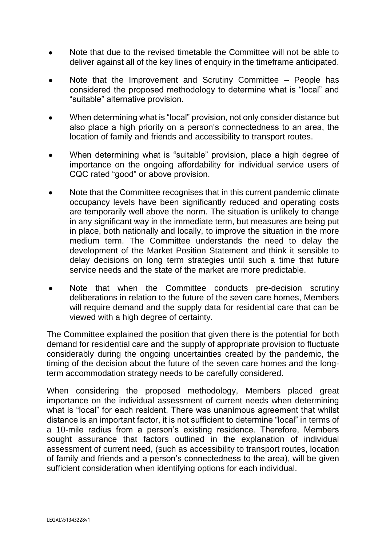- Note that due to the revised timetable the Committee will not be able to deliver against all of the key lines of enquiry in the timeframe anticipated.
- Note that the Improvement and Scrutiny Committee People has considered the proposed methodology to determine what is "local" and "suitable" alternative provision.
- When determining what is "local" provision, not only consider distance but also place a high priority on a person's connectedness to an area, the location of family and friends and accessibility to transport routes.
- When determining what is "suitable" provision, place a high degree of importance on the ongoing affordability for individual service users of CQC rated "good" or above provision.
- Note that the Committee recognises that in this current pandemic climate occupancy levels have been significantly reduced and operating costs are temporarily well above the norm. The situation is unlikely to change in any significant way in the immediate term, but measures are being put in place, both nationally and locally, to improve the situation in the more medium term. The Committee understands the need to delay the development of the Market Position Statement and think it sensible to delay decisions on long term strategies until such a time that future service needs and the state of the market are more predictable.
- Note that when the Committee conducts pre-decision scrutiny deliberations in relation to the future of the seven care homes, Members will require demand and the supply data for residential care that can be viewed with a high degree of certainty.

The Committee explained the position that given there is the potential for both demand for residential care and the supply of appropriate provision to fluctuate considerably during the ongoing uncertainties created by the pandemic, the timing of the decision about the future of the seven care homes and the longterm accommodation strategy needs to be carefully considered.

When considering the proposed methodology, Members placed great importance on the individual assessment of current needs when determining what is "local" for each resident. There was unanimous agreement that whilst distance is an important factor, it is not sufficient to determine "local" in terms of a 10-mile radius from a person's existing residence. Therefore, Members sought assurance that factors outlined in the explanation of individual assessment of current need, (such as accessibility to transport routes, location of family and friends and a person's connectedness to the area), will be given sufficient consideration when identifying options for each individual.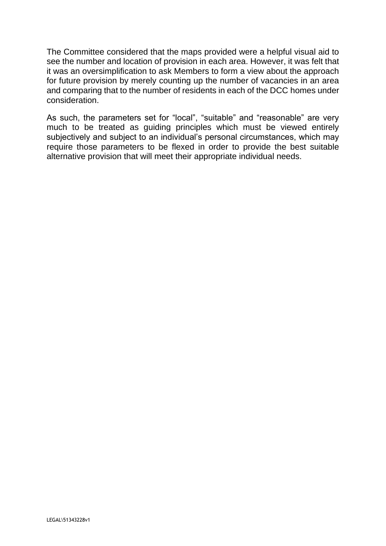The Committee considered that the maps provided were a helpful visual aid to see the number and location of provision in each area. However, it was felt that it was an oversimplification to ask Members to form a view about the approach for future provision by merely counting up the number of vacancies in an area and comparing that to the number of residents in each of the DCC homes under consideration.

As such, the parameters set for "local", "suitable" and "reasonable" are very much to be treated as guiding principles which must be viewed entirely subjectively and subject to an individual's personal circumstances, which may require those parameters to be flexed in order to provide the best suitable alternative provision that will meet their appropriate individual needs.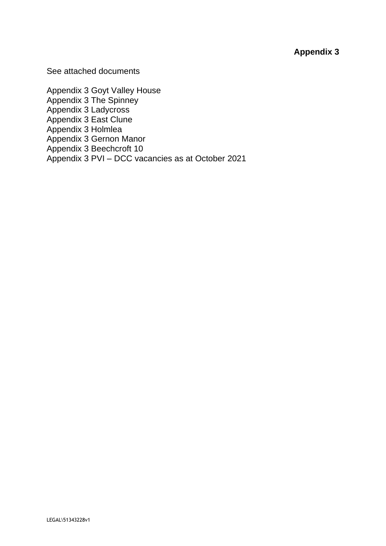### **Appendix 3**

See attached documents

Appendix 3 Goyt Valley House Appendix 3 The Spinney Appendix 3 Ladycross Appendix 3 East Clune Appendix 3 Holmlea Appendix 3 Gernon Manor Appendix 3 Beechcroft 10 Appendix 3 PVI – DCC vacancies as at October 2021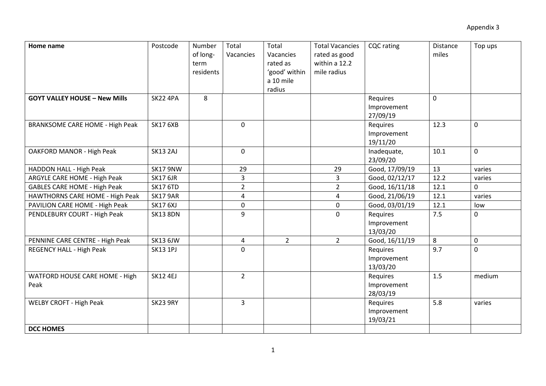| Home name                              | Postcode        | Number<br>of long-<br>term<br>residents | Total<br>Vacancies | Total<br>Vacancies<br>rated as<br>'good' within<br>a 10 mile<br>radius | <b>Total Vacancies</b><br>rated as good<br>within a 12.2<br>mile radius | <b>CQC</b> rating                   | Distance<br>miles | Top ups     |
|----------------------------------------|-----------------|-----------------------------------------|--------------------|------------------------------------------------------------------------|-------------------------------------------------------------------------|-------------------------------------|-------------------|-------------|
| <b>GOYT VALLEY HOUSE - New Mills</b>   | <b>SK22 4PA</b> | 8                                       |                    |                                                                        |                                                                         | Requires<br>Improvement<br>27/09/19 | $\mathbf 0$       |             |
| <b>BRANKSOME CARE HOME - High Peak</b> | <b>SK17 6XB</b> |                                         | $\mathbf 0$        |                                                                        |                                                                         | Requires<br>Improvement<br>19/11/20 | 12.3              | $\mathbf 0$ |
| <b>OAKFORD MANOR - High Peak</b>       | <b>SK13 2AJ</b> |                                         | $\mathbf 0$        |                                                                        |                                                                         | Inadequate,<br>23/09/20             | 10.1              | $\mathbf 0$ |
| HADDON HALL - High Peak                | <b>SK17 9NW</b> |                                         | 29                 |                                                                        | 29                                                                      | Good, 17/09/19                      | 13                | varies      |
| ARGYLE CARE HOME - High Peak           | <b>SK17 6JR</b> |                                         | $\overline{3}$     |                                                                        | $\overline{3}$                                                          | Good, 02/12/17                      | 12.2              | varies      |
| <b>GABLES CARE HOME - High Peak</b>    | <b>SK17 6TD</b> |                                         | $\overline{2}$     |                                                                        | $\overline{2}$                                                          | Good, 16/11/18                      | 12.1              | $\Omega$    |
| HAWTHORNS CARE HOME - High Peak        | <b>SK17 9AR</b> |                                         | 4                  |                                                                        | 4                                                                       | Good, 21/06/19                      | 12.1              | varies      |
| PAVILION CARE HOME - High Peak         | <b>SK17 6XJ</b> |                                         | $\mathbf 0$        |                                                                        | 0                                                                       | Good, 03/01/19                      | 12.1              | low         |
| PENDLEBURY COURT - High Peak           | <b>SK13 8DN</b> |                                         | 9                  |                                                                        | $\Omega$                                                                | Requires<br>Improvement<br>13/03/20 | 7.5               | $\mathbf 0$ |
| PENNINE CARE CENTRE - High Peak        | <b>SK13 6JW</b> |                                         | $\overline{a}$     | $\overline{2}$                                                         | $2^{\circ}$                                                             | Good, 16/11/19                      | 8                 | $\pmb{0}$   |
| REGENCY HALL - High Peak               | <b>SK13 1PJ</b> |                                         | $\mathbf 0$        |                                                                        |                                                                         | Requires<br>Improvement<br>13/03/20 | 9.7               | $\mathbf 0$ |
| WATFORD HOUSE CARE HOME - High<br>Peak | <b>SK12 4EJ</b> |                                         | $\overline{2}$     |                                                                        |                                                                         | Requires<br>Improvement<br>28/03/19 | 1.5               | medium      |
| <b>WELBY CROFT - High Peak</b>         | SK23 9RY        |                                         | $\overline{3}$     |                                                                        |                                                                         | Requires<br>Improvement<br>19/03/21 | 5.8               | varies      |
| <b>DCC HOMES</b>                       |                 |                                         |                    |                                                                        |                                                                         |                                     |                   |             |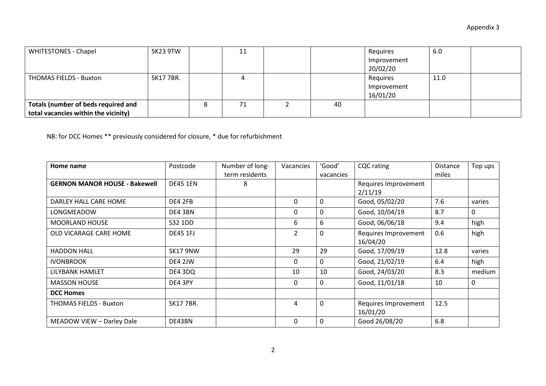| <b>WHITESTONES - Chapel</b>          | SK23 9TW        | ᆠ  |    | Requires    | 6.0  |  |
|--------------------------------------|-----------------|----|----|-------------|------|--|
|                                      |                 |    |    | Improvement |      |  |
|                                      |                 |    |    | 20/02/20    |      |  |
| THOMAS FIELDS - Buxton               | <b>SK177BR.</b> |    |    | Requires    | 11.0 |  |
|                                      |                 |    |    | Improvement |      |  |
|                                      |                 |    |    | 16/01/20    |      |  |
| Totals (number of beds required and  |                 | 71 | 40 |             |      |  |
| total vacancies within the vicinity) |                 |    |    |             |      |  |

NB: for DCC Homes \*\* previously considered for closure, \* due for refurbishment

| Home name                            | Postcode        | Number of long- | Vacancies     | 'Good'    | <b>CQC</b> rating    | <b>Distance</b> | Top ups |
|--------------------------------------|-----------------|-----------------|---------------|-----------|----------------------|-----------------|---------|
|                                      |                 | term residents  |               | vacancies |                      | miles           |         |
| <b>GERNON MANOR HOUSE - Bakewell</b> | <b>DE45 1EN</b> | 8               |               |           | Requires Improvement |                 |         |
|                                      |                 |                 |               |           | 2/11/19              |                 |         |
| DARLEY HALL CARE HOME                | DE4 2FB         |                 | 0             | 0         | Good, 05/02/20       | 7.6             | varies  |
| LONGMEADOW                           | DE4 3BN         |                 | 0             | 0         | Good, 10/04/19       | 8.7             | 0       |
| <b>MOORLAND HOUSE</b>                | S32 1DD         |                 | 6             | 6         | Good, 06/06/18       | 9.4             | high    |
| OLD VICARAGE CARE HOME               | <b>DE45 1FJ</b> |                 | $\mathcal{P}$ | 0         | Requires Improvement | 0.6             | high    |
|                                      |                 |                 |               |           | 16/04/20             |                 |         |
| <b>HADDON HALL</b>                   | <b>SK17 9NW</b> |                 | 29            | 29        | Good, 17/09/19       | 12.8            | varies  |
| <b>IVONBROOK</b>                     | DE4 2JW         |                 | 0             | 0         | Good, 21/02/19       | 6.4             | high    |
| LILYBANK HAMLET                      | DE4 3DQ         |                 | 10            | 10        | Good, 24/03/20       | 8.3             | medium  |
| <b>MASSON HOUSE</b>                  | DE4 3PY         |                 | 0             | 0         | Good, 11/01/18       | 10              | 0       |
| <b>DCC Homes</b>                     |                 |                 |               |           |                      |                 |         |
| <b>THOMAS FIELDS - Buxton</b>        | <b>SK177BR.</b> |                 | 4             | 0         | Requires Improvement | 12.5            |         |
|                                      |                 |                 |               |           | 16/01/20             |                 |         |
| MEADOW VIEW - Darley Dale            | DE43BN          |                 | 0             | 0         | Good 26/08/20        | 6.8             |         |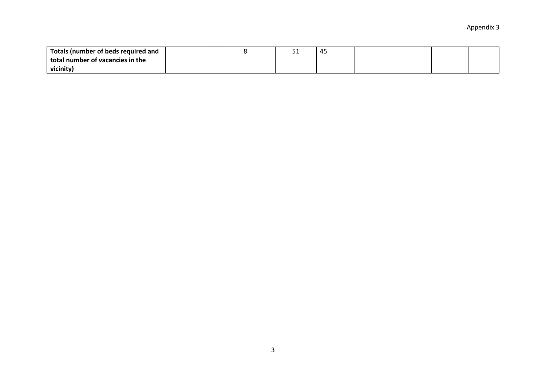| <sup>1</sup> Totals (number of beds required and |  | - - | д.<br>᠇֊ |  |  |
|--------------------------------------------------|--|-----|----------|--|--|
| total number of vacancies in the                 |  |     |          |  |  |
| vicinity)                                        |  |     |          |  |  |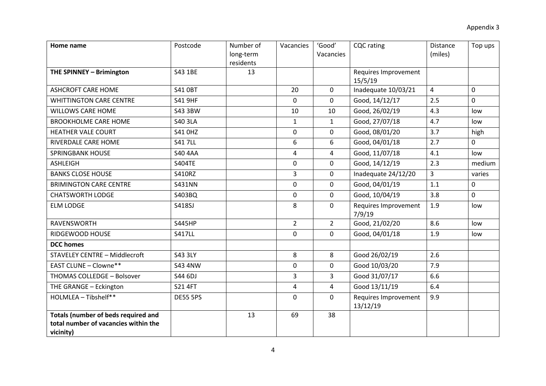| Home name                                                                                       | Postcode        | Number of<br>long-term<br>residents | Vacancies      | 'Good'<br>Vacancies | <b>CQC</b> rating                | <b>Distance</b><br>(miles) | Top ups |
|-------------------------------------------------------------------------------------------------|-----------------|-------------------------------------|----------------|---------------------|----------------------------------|----------------------------|---------|
| THE SPINNEY - Brimington                                                                        | S43 1BE         | 13                                  |                |                     | Requires Improvement<br>15/5/19  |                            |         |
| <b>ASHCROFT CARE HOME</b>                                                                       | <b>S41 OBT</b>  |                                     | 20             | $\mathbf 0$         | Inadequate 10/03/21              | $\overline{4}$             | 0       |
| <b>WHITTINGTON CARE CENTRE</b>                                                                  | <b>S41 9HF</b>  |                                     | 0              | $\mathbf 0$         | Good, 14/12/17                   | 2.5                        | 0       |
| <b>WILLOWS CARE HOME</b>                                                                        | S43 3BW         |                                     | 10             | 10                  | Good, 26/02/19                   | 4.3                        | low     |
| <b>BROOKHOLME CARE HOME</b>                                                                     | <b>S40 3LA</b>  |                                     | $\mathbf{1}$   | $\mathbf{1}$        | Good, 27/07/18                   | 4.7                        | low     |
| <b>HEATHER VALE COURT</b>                                                                       | <b>S41 OHZ</b>  |                                     | 0              | $\mathbf 0$         | Good, 08/01/20                   | 3.7                        | high    |
| RIVERDALE CARE HOME                                                                             | <b>S417LL</b>   |                                     | 6              | 6                   | Good, 04/01/18                   | 2.7                        | 0       |
| <b>SPRINGBANK HOUSE</b>                                                                         | <b>S40 4AA</b>  |                                     | 4              | $\overline{4}$      | Good, 11/07/18                   | 4.1                        | low     |
| <b>ASHLEIGH</b>                                                                                 | <b>S404TE</b>   |                                     | 0              | $\mathbf 0$         | Good, 14/12/19                   | 2.3                        | medium  |
| <b>BANKS CLOSE HOUSE</b>                                                                        | <b>S410RZ</b>   |                                     | $\overline{3}$ | $\mathbf 0$         | Inadequate 24/12/20              | $\overline{3}$             | varies  |
| <b>BRIMINGTON CARE CENTRE</b>                                                                   | <b>S431NN</b>   |                                     | $\mathbf 0$    | $\mathbf 0$         | Good, 04/01/19                   | 1.1                        | 0       |
| <b>CHATSWORTH LODGE</b>                                                                         | S403BQ          |                                     | 0              | $\mathbf 0$         | Good, 10/04/19                   | 3.8                        | 0       |
| <b>ELM LODGE</b>                                                                                | <b>S418SJ</b>   |                                     | 8              | $\mathbf 0$         | Requires Improvement<br>7/9/19   | 1.9                        | low     |
| RAVENSWORTH                                                                                     | <b>S445HP</b>   |                                     | $\overline{2}$ | $\overline{2}$      | Good, 21/02/20                   | 8.6                        | low     |
| RIDGEWOOD HOUSE                                                                                 | <b>S417LL</b>   |                                     | $\mathbf 0$    | $\mathbf 0$         | Good, 04/01/18                   | 1.9                        | low     |
| <b>DCC</b> homes                                                                                |                 |                                     |                |                     |                                  |                            |         |
| <b>STAVELEY CENTRE - Middlecroft</b>                                                            | <b>S43 3LY</b>  |                                     | 8              | 8                   | Good 26/02/19                    | 2.6                        |         |
| <b>EAST CLUNE - Clowne**</b>                                                                    | <b>S43 4NW</b>  |                                     | 0              | $\mathbf 0$         | Good 10/03/20                    | 7.9                        |         |
| THOMAS COLLEDGE - Bolsover                                                                      | S44 6DJ         |                                     | 3              | 3                   | Good 31/07/17                    | 6.6                        |         |
| THE GRANGE - Eckington                                                                          | <b>S21 4FT</b>  |                                     | 4              | 4                   | Good 13/11/19                    | 6.4                        |         |
| HOLMLEA - Tibshelf**                                                                            | <b>DE55 5PS</b> |                                     | 0              | $\Omega$            | Requires Improvement<br>13/12/19 | 9.9                        |         |
| <b>Totals (number of beds required and</b><br>total number of vacancies within the<br>vicinity) |                 | 13                                  | 69             | 38                  |                                  |                            |         |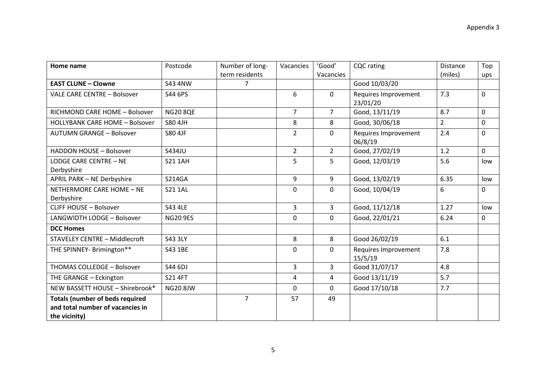| Home name                                   | Postcode        | Number of long- | Vacancies      | 'Good'         | <b>CQC</b> rating                | <b>Distance</b> | Top |
|---------------------------------------------|-----------------|-----------------|----------------|----------------|----------------------------------|-----------------|-----|
|                                             |                 | term residents  |                | Vacancies      |                                  | (miles)         | ups |
| <b>EAST CLUNE - Clowne</b>                  | <b>S43 4NW</b>  | $\overline{7}$  |                |                | Good 10/03/20                    |                 |     |
| <b>VALE CARE CENTRE - Bolsover</b>          | S44 6PS         |                 | 6              | 0              | Requires Improvement<br>23/01/20 | 7.3             | 0   |
| RICHMOND CARE HOME - Bolsover               | <b>NG20 8QE</b> |                 | $\overline{7}$ | $\overline{7}$ | Good, 13/11/19                   | 8.7             | 0   |
| <b>HOLLYBANK CARE HOME - Bolsover</b>       | S80 4JH         |                 | 8              | 8              | Good, 30/06/18                   | $\overline{2}$  | 0   |
| <b>AUTUMN GRANGE - Bolsover</b>             | <b>S80 4JF</b>  |                 | $\overline{2}$ | 0              | Requires Improvement<br>06/8/19  | 2.4             | 0   |
| <b>HADDON HOUSE - Bolsover</b>              | S434JU          |                 | $\overline{2}$ | $\overline{2}$ | Good, 27/02/19                   | 1.2             | 0   |
| <b>LODGE CARE CENTRE - NE</b><br>Derbyshire | <b>S21 1AH</b>  |                 | 5              | 5              | Good, 12/03/19                   | 5.6             | low |
| <b>APRIL PARK - NE Derbyshire</b>           | <b>S214GA</b>   |                 | 9              | 9              | Good, 13/02/19                   | 6.35            | low |
| NETHERMORE CARE HOME - NE<br>Derbyshire     | <b>S21 1AL</b>  |                 | 0              | 0              | Good, 10/04/19                   | 6               | 0   |
| <b>CLIFF HOUSE - Bolsover</b>               | S43 4LE         |                 | 3              | 3              | Good, 11/12/18                   | 1.27            | low |
| LANGWIDTH LODGE - Bolsover                  | <b>NG20 9ES</b> |                 | 0              | 0              | Good, 22/01/21                   | 6.24            | 0   |
| <b>DCC Homes</b>                            |                 |                 |                |                |                                  |                 |     |
| <b>STAVELEY CENTRE - Middlecroft</b>        | <b>S43 3LY</b>  |                 | 8              | 8              | Good 26/02/19                    | 6.1             |     |
| THE SPINNEY- Brimington**                   | S43 1BE         |                 | 0              | 0              | Requires Improvement<br>15/5/19  | 7.8             |     |
| THOMAS COLLEDGE - Bolsover                  | S44 6DJ         |                 | 3              | 3              | Good 31/07/17                    | 4.8             |     |
| THE GRANGE - Eckington                      | <b>S21 4FT</b>  |                 | 4              | 4              | Good 13/11/19                    | 5.7             |     |
| NEW BASSETT HOUSE - Shirebrook*             | <b>NG20 8JW</b> |                 | $\mathbf{0}$   | 0              | Good 17/10/18                    | 7.7             |     |
| <b>Totals (number of beds required</b>      |                 | $\overline{7}$  | 57             | 49             |                                  |                 |     |
| and total number of vacancies in            |                 |                 |                |                |                                  |                 |     |
| the vicinity)                               |                 |                 |                |                |                                  |                 |     |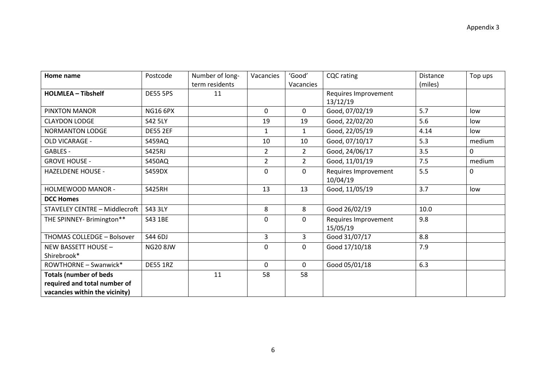| Home name                            | Postcode        | Number of long- | Vacancies      | 'Good'         | <b>CQC</b> rating    | <b>Distance</b> | Top ups      |
|--------------------------------------|-----------------|-----------------|----------------|----------------|----------------------|-----------------|--------------|
|                                      |                 | term residents  |                | Vacancies      |                      | (miles)         |              |
| <b>HOLMLEA - Tibshelf</b>            | <b>DE55 5PS</b> | 11              |                |                | Requires Improvement |                 |              |
|                                      |                 |                 |                |                | 13/12/19             |                 |              |
| PINXTON MANOR                        | <b>NG16 6PX</b> |                 | 0              | 0              | Good, 07/02/19       | 5.7             | low          |
| <b>CLAYDON LODGE</b>                 | <b>S42 5LY</b>  |                 | 19             | 19             | Good, 22/02/20       | 5.6             | low          |
| <b>NORMANTON LODGE</b>               | <b>DE55 2EF</b> |                 | $\mathbf{1}$   | $\mathbf{1}$   | Good, 22/05/19       | 4.14            | low          |
| OLD VICARAGE -                       | <b>S459AQ</b>   |                 | 10             | 10             | Good, 07/10/17       | 5.3             | medium       |
| GABLES -                             | <b>S425RJ</b>   |                 | $\overline{2}$ | $\overline{2}$ | Good, 24/06/17       | 3.5             | 0            |
| <b>GROVE HOUSE -</b>                 | <b>S450AQ</b>   |                 | $\overline{2}$ | $\overline{2}$ | Good, 11/01/19       | 7.5             | medium       |
| <b>HAZELDENE HOUSE -</b>             | <b>S459DX</b>   |                 | 0              | $\Omega$       | Requires Improvement | 5.5             | $\mathbf{0}$ |
|                                      |                 |                 |                |                | 10/04/19             |                 |              |
| HOLMEWOOD MANOR -                    | <b>S425RH</b>   |                 | 13             | 13             | Good, 11/05/19       | 3.7             | low          |
| <b>DCC Homes</b>                     |                 |                 |                |                |                      |                 |              |
| <b>STAVELEY CENTRE - Middlecroft</b> | <b>S43 3LY</b>  |                 | 8              | 8              | Good 26/02/19        | 10.0            |              |
| THE SPINNEY- Brimington**            | S43 1BE         |                 | 0              | $\Omega$       | Requires Improvement | 9.8             |              |
|                                      |                 |                 |                |                | 15/05/19             |                 |              |
| THOMAS COLLEDGE - Bolsover           | S44 6DJ         |                 | $\overline{3}$ | 3              | Good 31/07/17        | 8.8             |              |
| <b>NEW BASSETT HOUSE -</b>           | <b>NG20 8JW</b> |                 | $\mathbf{0}$   | $\Omega$       | Good 17/10/18        | 7.9             |              |
| Shirebrook*                          |                 |                 |                |                |                      |                 |              |
| ROWTHORNE - Swanwick*                | <b>DE55 1RZ</b> |                 | $\mathbf 0$    | $\mathbf 0$    | Good 05/01/18        | 6.3             |              |
| <b>Totals (number of beds</b>        |                 | 11              | 58             | 58             |                      |                 |              |
| required and total number of         |                 |                 |                |                |                      |                 |              |
| vacancies within the vicinity)       |                 |                 |                |                |                      |                 |              |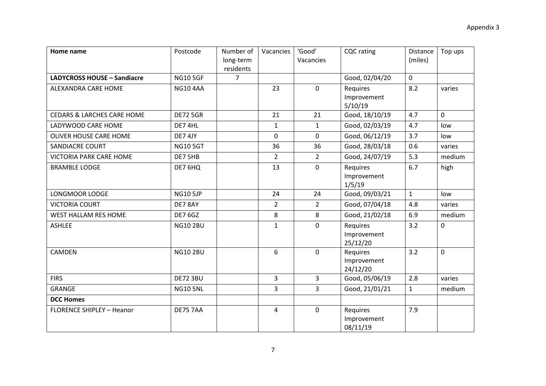| Home name                             | Postcode        | Number of<br>long-term<br>residents | Vacancies      | 'Good'<br>Vacancies | <b>CQC</b> rating                   | Distance<br>(miles) | Top ups |
|---------------------------------------|-----------------|-------------------------------------|----------------|---------------------|-------------------------------------|---------------------|---------|
| <b>LADYCROSS HOUSE - Sandiacre</b>    | <b>NG105GF</b>  | $\overline{7}$                      |                |                     | Good, 02/04/20                      | $\mathbf 0$         |         |
| ALEXANDRA CARE HOME                   | <b>NG10 4AA</b> |                                     | 23             | $\mathbf 0$         | Requires<br>Improvement<br>5/10/19  | 8.2                 | varies  |
| <b>CEDARS &amp; LARCHES CARE HOME</b> | <b>DE72 5GR</b> |                                     | 21             | 21                  | Good, 18/10/19                      | 4.7                 | 0       |
| LADYWOOD CARE HOME                    | DE7 4HL         |                                     | $\mathbf{1}$   | $\mathbf{1}$        | Good, 02/03/19                      | 4.7                 | low     |
| OLIVER HOUSE CARE HOME                | DE7 4JY         |                                     | 0              | $\mathbf 0$         | Good, 06/12/19                      | 3.7                 | low     |
| <b>SANDIACRE COURT</b>                | <b>NG105GT</b>  |                                     | 36             | 36                  | Good, 28/03/18                      | 0.6                 | varies  |
| <b>VICTORIA PARK CARE HOME</b>        | DE7 5HB         |                                     | $\overline{2}$ | $\overline{2}$      | Good, 24/07/19                      | 5.3                 | medium  |
| <b>BRAMBLE LODGE</b>                  | DE7 6HQ         |                                     | 13             | $\mathbf 0$         | Requires<br>Improvement<br>1/5/19   | 6.7                 | high    |
| LONGMOOR LODGE                        | <b>NG10 5JP</b> |                                     | 24             | 24                  | Good, 09/03/21                      | $\mathbf{1}$        | low     |
| <b>VICTORIA COURT</b>                 | DE78AY          |                                     | $\overline{2}$ | $\overline{2}$      | Good, 07/04/18                      | 4.8                 | varies  |
| WEST HALLAM RES HOME                  | <b>DE7 6GZ</b>  |                                     | 8              | 8                   | Good, 21/02/18                      | 6.9                 | medium  |
| <b>ASHLEE</b>                         | <b>NG10 2BU</b> |                                     | $\mathbf{1}$   | $\mathbf 0$         | Requires<br>Improvement<br>25/12/20 | 3.2                 | 0       |
| CAMDEN                                | <b>NG10 2BU</b> |                                     | 6              | $\mathbf 0$         | Requires<br>Improvement<br>24/12/20 | 3.2                 | 0       |
| <b>FIRS</b>                           | <b>DE72 3BU</b> |                                     | $\overline{3}$ | $\overline{3}$      | Good, 05/06/19                      | 2.8                 | varies  |
| <b>GRANGE</b>                         | <b>NG10 5NL</b> |                                     | $\overline{3}$ | $\overline{3}$      | Good, 21/01/21                      | $\mathbf{1}$        | medium  |
| <b>DCC Homes</b>                      |                 |                                     |                |                     |                                     |                     |         |
| <b>FLORENCE SHIPLEY - Heanor</b>      | <b>DE75 7AA</b> |                                     | 4              | $\mathbf 0$         | Requires<br>Improvement<br>08/11/19 | 7.9                 |         |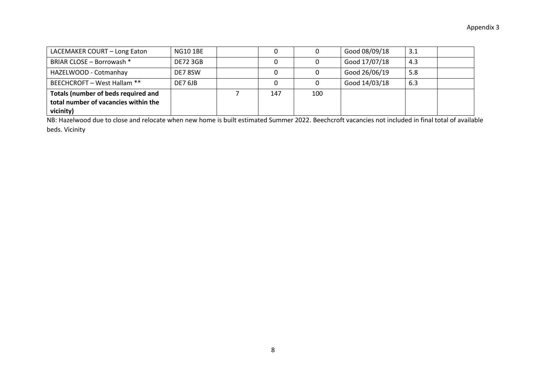| LACEMAKER COURT - Long Eaton                                                             | <b>NG10 1BE</b> |     |     | Good 08/09/18 | 3.1 |  |
|------------------------------------------------------------------------------------------|-----------------|-----|-----|---------------|-----|--|
| BRIAR CLOSE - Borrowash *                                                                | <b>DE72 3GB</b> |     |     | Good 17/07/18 | 4.3 |  |
| HAZELWOOD - Cotmanhay                                                                    | DE78SW          |     |     | Good 26/06/19 | 5.8 |  |
| BEECHCROFT - West Hallam **                                                              | DE7 6JB         |     |     | Good 14/03/18 | 6.3 |  |
| Totals (number of beds required and<br>total number of vacancies within the<br>vicinity) |                 | 147 | 100 |               |     |  |

NB: Hazelwood due to close and relocate when new home is built estimated Summer 2022. Beechcroft vacancies not included in final total of available beds. Vicinity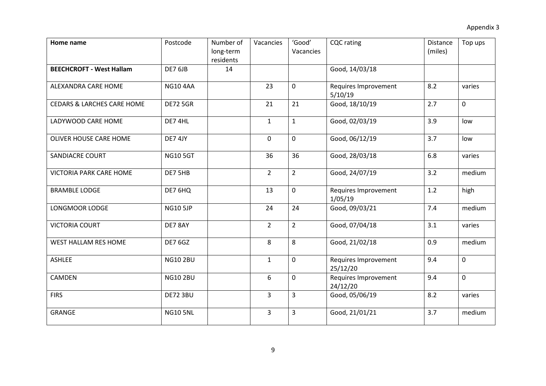| Home name                             | Postcode        | Number of<br>long-term | Vacancies      | 'Good'<br>Vacancies | <b>CQC</b> rating                | Distance<br>(miles) | Top ups     |
|---------------------------------------|-----------------|------------------------|----------------|---------------------|----------------------------------|---------------------|-------------|
| <b>BEECHCROFT - West Hallam</b>       | DE7 6JB         | residents<br>14        |                |                     | Good, 14/03/18                   |                     |             |
| ALEXANDRA CARE HOME                   | <b>NG10 4AA</b> |                        | 23             | 0                   | Requires Improvement<br>5/10/19  | 8.2                 | varies      |
| <b>CEDARS &amp; LARCHES CARE HOME</b> | <b>DE72 5GR</b> |                        | 21             | 21                  | Good, 18/10/19                   | 2.7                 | 0           |
| LADYWOOD CARE HOME                    | DE7 4HL         |                        | $\mathbf{1}$   | $\mathbf{1}$        | Good, 02/03/19                   | 3.9                 | low         |
| OLIVER HOUSE CARE HOME                | DE7 4JY         |                        | 0              | 0                   | Good, 06/12/19                   | 3.7                 | low         |
| SANDIACRE COURT                       | <b>NG10 5GT</b> |                        | 36             | 36                  | Good, 28/03/18                   | 6.8                 | varies      |
| <b>VICTORIA PARK CARE HOME</b>        | DE7 5HB         |                        | $\overline{2}$ | $\overline{2}$      | Good, 24/07/19                   | 3.2                 | medium      |
| <b>BRAMBLE LODGE</b>                  | DE7 6HQ         |                        | 13             | 0                   | Requires Improvement<br>1/05/19  | 1.2                 | high        |
| LONGMOOR LODGE                        | <b>NG10 5JP</b> |                        | 24             | 24                  | Good, 09/03/21                   | 7.4                 | medium      |
| <b>VICTORIA COURT</b>                 | DE7 8AY         |                        | $\overline{2}$ | $\overline{2}$      | Good, 07/04/18                   | 3.1                 | varies      |
| <b>WEST HALLAM RES HOME</b>           | <b>DE7 6GZ</b>  |                        | 8              | 8                   | Good, 21/02/18                   | 0.9                 | medium      |
| <b>ASHLEE</b>                         | <b>NG10 2BU</b> |                        | $\mathbf{1}$   | 0                   | Requires Improvement<br>25/12/20 | 9.4                 | $\mathbf 0$ |
| <b>CAMDEN</b>                         | <b>NG10 2BU</b> |                        | 6              | 0                   | Requires Improvement<br>24/12/20 | 9.4                 | $\mathbf 0$ |
| <b>FIRS</b>                           | <b>DE72 3BU</b> |                        | $\overline{3}$ | 3                   | Good, 05/06/19                   | 8.2                 | varies      |
| <b>GRANGE</b>                         | <b>NG10 5NL</b> |                        | $\overline{3}$ | 3                   | Good, 21/01/21                   | 3.7                 | medium      |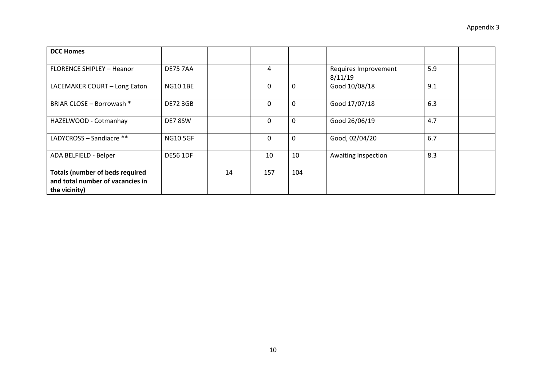| <b>DCC Homes</b>                                                                            |                 |    |     |     |                                 |     |  |
|---------------------------------------------------------------------------------------------|-----------------|----|-----|-----|---------------------------------|-----|--|
| <b>FLORENCE SHIPLEY - Heanor</b>                                                            | <b>DE75 7AA</b> |    | 4   |     | Requires Improvement<br>8/11/19 | 5.9 |  |
| LACEMAKER COURT - Long Eaton                                                                | <b>NG10 1BE</b> |    | 0   | 0   | Good 10/08/18                   | 9.1 |  |
| BRIAR CLOSE - Borrowash *                                                                   | <b>DE72 3GB</b> |    | 0   | 0   | Good 17/07/18                   | 6.3 |  |
| HAZELWOOD - Cotmanhay                                                                       | DE78SW          |    | 0   | 0   | Good 26/06/19                   | 4.7 |  |
| LADYCROSS - Sandiacre **                                                                    | <b>NG10 5GF</b> |    | 0   | 0   | Good, 02/04/20                  | 6.7 |  |
| ADA BELFIELD - Belper                                                                       | <b>DE56 1DF</b> |    | 10  | 10  | Awaiting inspection             | 8.3 |  |
| <b>Totals (number of beds required</b><br>and total number of vacancies in<br>the vicinity) |                 | 14 | 157 | 104 |                                 |     |  |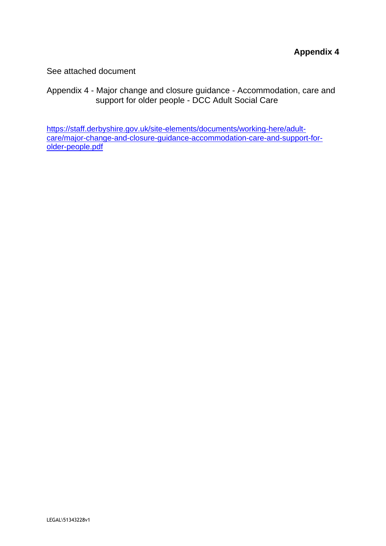See attached document

Appendix 4 - Major change and closure guidance - Accommodation, care and support for older people - DCC Adult Social Care

[https://staff.derbyshire.gov.uk/site-elements/documents/working-here/adult](https://staff.derbyshire.gov.uk/site-elements/documents/working-here/adult-care/major-change-and-closure-guidance-accommodation-care-and-support-for-older-people.pdf)[care/major-change-and-closure-guidance-accommodation-care-and-support-for](https://staff.derbyshire.gov.uk/site-elements/documents/working-here/adult-care/major-change-and-closure-guidance-accommodation-care-and-support-for-older-people.pdf)[older-people.pdf](https://staff.derbyshire.gov.uk/site-elements/documents/working-here/adult-care/major-change-and-closure-guidance-accommodation-care-and-support-for-older-people.pdf)